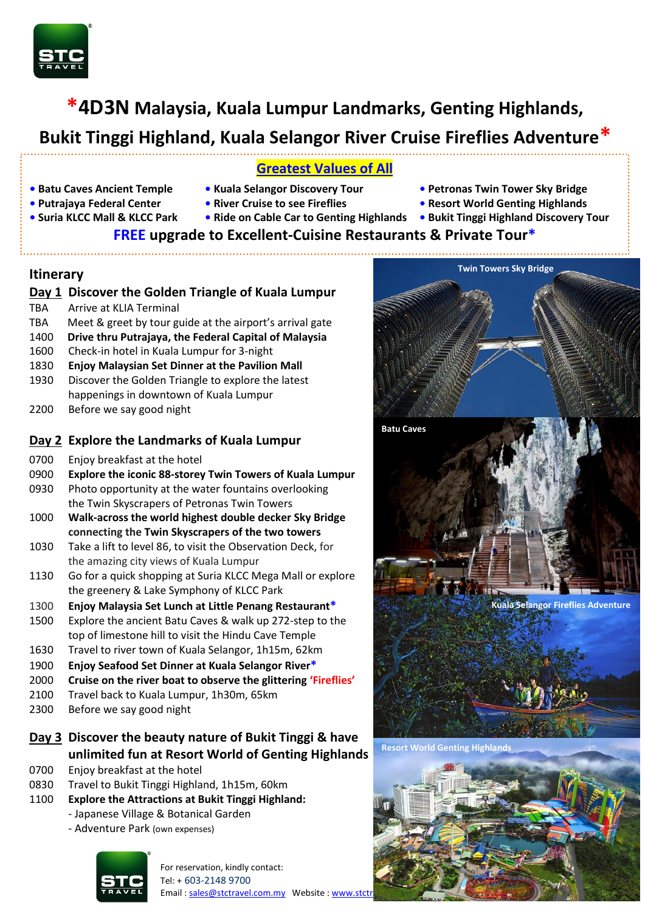

# **\*4D3N Malaysia, Kuala Lumpur Landmarks, Genting Highlands,**

# **Bukit Tinggi Highland, Kuala Selangor River Cruise Fireflies Adventure\***

### **Greatest Values of All**

- 
- **• Putrajaya Federal Center River Cruise to see Fireflies Resort World Genting Highlands**
- 
- 
- 
- **• Batu Caves Ancient Temple Kuala Selangor Discovery Tour Petronas Twin Tower Sky Bridge**
	-
- **Suria KLCC Mall & KLCC Park Ride on Cable Car to Genting Highlands • Bukit Tinggi Highland Discovery Tour**

# **FREE upgrade to Excellent-Cuisine Restaurants & Private Tour\***

### **Itinerary**

### **Day 1 Discover the Golden Triangle of Kuala Lumpur**

- TBA Arrive at KLIA Terminal
- TBA Meet & greet by tour guide at the airport's arrival gate
- 1400 **Drive thru Putrajaya, the Federal Capital of Malaysia**
- 1600 Check-in hotel in Kuala Lumpur for 3-night
- 1830 **Enjoy Malaysian Set Dinner at the Pavilion Mall**
- 1930 Discover the Golden Triangle to explore the latest happenings in downtown of Kuala Lumpur
- 2200 Before we say good night

## **Day 2 Explore the Landmarks of Kuala Lumpur**

- 0700 Enjoy breakfast at the hotel
- 0900 **Explore the iconic 88-storey Twin Towers of Kuala Lumpur**
- 0930 Photo opportunity at the water fountains overlooking the Twin Skyscrapers of Petronas Twin Towers
- 1000 **Walk-across the world highest double decker Sky Bridge connecting the Twin Skyscrapers of the two towers**
- 1030 Take a lift to level 86, to visit the Observation Deck, for the amazing city views of Kuala Lumpur
- 1130 Go for a quick shopping at Suria KLCC Mega Mall or explore the greenery & Lake Symphony of KLCC Park
- 1300 **Enjoy Malaysia Set Lunch at Little Penang Restaurant\***
- 1500 Explore the ancient Batu Caves & walk up 272-step to the top of limestone hill to visit the Hindu Cave Temple
- 1630 Travel to river town of Kuala Selangor, 1h15m, 62km
- 1900 **Enjoy Seafood Set Dinner at Kuala Selangor River\***
- 2000 **Cruise on the river boat to observe the glittering 'Fireflies'**
- 2100 Travel back to Kuala Lumpur, 1h30m, 65km
- 2300 Before we say good night

# **Day 3 Discover the beauty nature of Bukit Tinggi & have unlimited fun at Resort World of Genting Highlands**

- 0700 Enjoy breakfast at the hotel
- 0830 Travel to Bukit Tinggi Highland, 1h15m, 60km
- 1100 **Explore the Attractions at Bukit Tinggi Highland:**
	- Japanese Village & Botanical Garden
		- Adventure Park (own expenses)



For reservation, kindly contact: Tel: + 603-2148 9700 Email[: sales@stctravel.com.my](mailto:sales@stctravel.com.my) Website: www.stctr



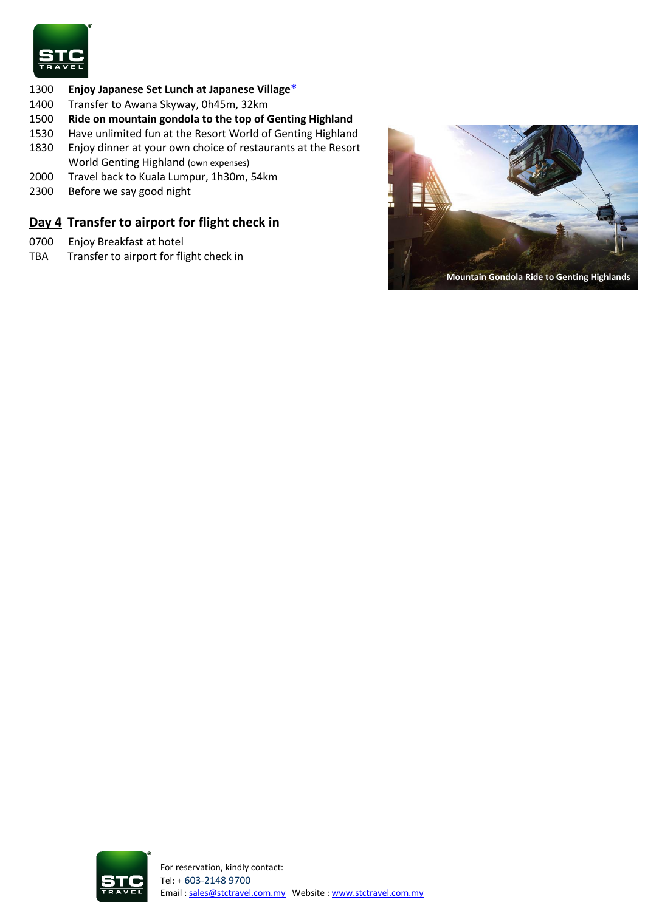

#### 1300 **Enjoy Japanese Set Lunch at Japanese Village\***

- 1400 Transfer to Awana Skyway, 0h45m, 32km
- 1500 **Ride on mountain gondola to the top of Genting Highland**
- 1530 Have unlimited fun at the Resort World of Genting Highland
- 1830 Enjoy dinner at your own choice of restaurants at the Resort World Genting Highland (own expenses)
- 2000 Travel back to Kuala Lumpur, 1h30m, 54km
- 2300 Before we say good night

### **Day 4 Transfer to airport for flight check in**

- 0700 Enjoy Breakfast at hotel
- TBA Transfer to airport for flight check in



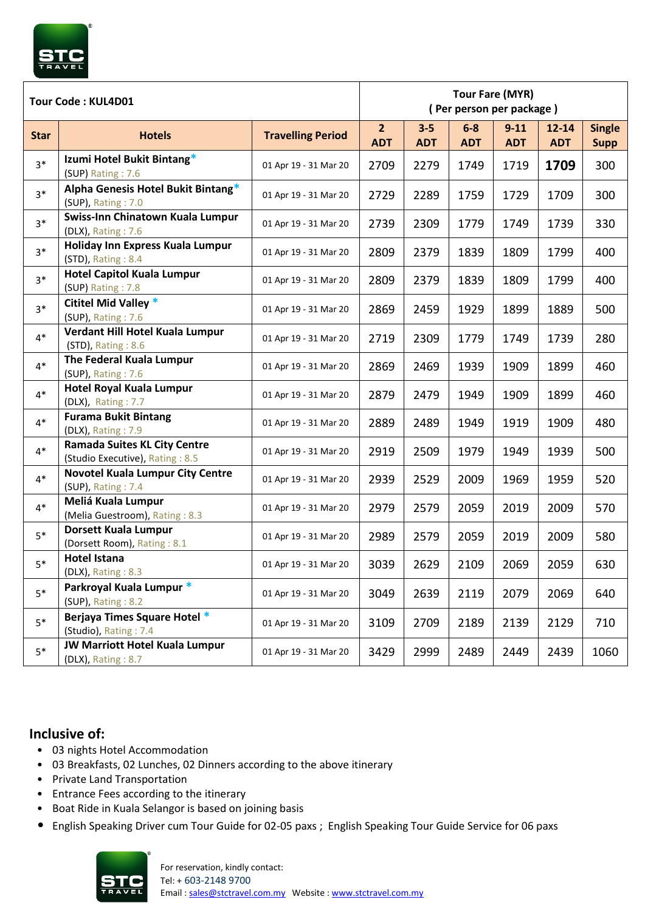| Tour Code: KUL4D01 |                                                                        |                          | <b>Tour Fare (MYR)</b><br>(Per person per package) |                       |                     |                        |                         |                              |  |
|--------------------|------------------------------------------------------------------------|--------------------------|----------------------------------------------------|-----------------------|---------------------|------------------------|-------------------------|------------------------------|--|
| <b>Star</b>        | <b>Hotels</b>                                                          | <b>Travelling Period</b> | 2 <sup>2</sup><br><b>ADT</b>                       | $3 - 5$<br><b>ADT</b> | $6-8$<br><b>ADT</b> | $9 - 11$<br><b>ADT</b> | $12 - 14$<br><b>ADT</b> | <b>Single</b><br><b>Supp</b> |  |
| $3*$               | Izumi Hotel Bukit Bintang*<br>(SUP) Rating: 7.6                        | 01 Apr 19 - 31 Mar 20    | 2709                                               | 2279                  | 1749                | 1719                   | 1709                    | 300                          |  |
| $3*$               | Alpha Genesis Hotel Bukit Bintang*<br>(SUP), Rating: 7.0               | 01 Apr 19 - 31 Mar 20    | 2729                                               | 2289                  | 1759                | 1729                   | 1709                    | 300                          |  |
| $3*$               | Swiss-Inn Chinatown Kuala Lumpur<br>(DLX), Rating: 7.6                 | 01 Apr 19 - 31 Mar 20    | 2739                                               | 2309                  | 1779                | 1749                   | 1739                    | 330                          |  |
| $3*$               | Holiday Inn Express Kuala Lumpur<br>(STD), Rating: 8.4                 | 01 Apr 19 - 31 Mar 20    | 2809                                               | 2379                  | 1839                | 1809                   | 1799                    | 400                          |  |
| $3*$               | <b>Hotel Capitol Kuala Lumpur</b><br>(SUP) Rating: 7.8                 | 01 Apr 19 - 31 Mar 20    | 2809                                               | 2379                  | 1839                | 1809                   | 1799                    | 400                          |  |
| $3*$               | <b>Cititel Mid Valley *</b><br>(SUP), Rating: 7.6                      | 01 Apr 19 - 31 Mar 20    | 2869                                               | 2459                  | 1929                | 1899                   | 1889                    | 500                          |  |
| $4*$               | Verdant Hill Hotel Kuala Lumpur<br>(STD), Rating: 8.6                  | 01 Apr 19 - 31 Mar 20    | 2719                                               | 2309                  | 1779                | 1749                   | 1739                    | 280                          |  |
| $4*$               | The Federal Kuala Lumpur<br>(SUP), Rating: 7.6                         | 01 Apr 19 - 31 Mar 20    | 2869                                               | 2469                  | 1939                | 1909                   | 1899                    | 460                          |  |
| $4*$               | <b>Hotel Royal Kuala Lumpur</b><br>(DLX), Rating: 7.7                  | 01 Apr 19 - 31 Mar 20    | 2879                                               | 2479                  | 1949                | 1909                   | 1899                    | 460                          |  |
| $4*$               | <b>Furama Bukit Bintang</b><br>(DLX), Rating: 7.9                      | 01 Apr 19 - 31 Mar 20    | 2889                                               | 2489                  | 1949                | 1919                   | 1909                    | 480                          |  |
| $4*$               | <b>Ramada Suites KL City Centre</b><br>(Studio Executive), Rating: 8.5 | 01 Apr 19 - 31 Mar 20    | 2919                                               | 2509                  | 1979                | 1949                   | 1939                    | 500                          |  |
| $4*$               | <b>Novotel Kuala Lumpur City Centre</b><br>(SUP), Rating: 7.4          | 01 Apr 19 - 31 Mar 20    | 2939                                               | 2529                  | 2009                | 1969                   | 1959                    | 520                          |  |
| $4*$               | Meliá Kuala Lumpur<br>(Melia Guestroom), Rating: 8.3                   | 01 Apr 19 - 31 Mar 20    | 2979                                               | 2579                  | 2059                | 2019                   | 2009                    | 570                          |  |
| $5*$               | <b>Dorsett Kuala Lumpur</b><br>(Dorsett Room), Rating: 8.1             | 01 Apr 19 - 31 Mar 20    | 2989                                               | 2579                  | 2059                | 2019                   | 2009                    | 580                          |  |
| $5*$               | Hotel Istana<br>(DLX), Rating: 8.3                                     | 01 Apr 19 - 31 Mar 20    | 3039                                               | 2629                  | 2109                | 2069                   | 2059                    | 630                          |  |
| $5*$               | Parkroyal Kuala Lumpur *<br>(SUP), Rating: 8.2                         | 01 Apr 19 - 31 Mar 20    | 3049                                               | 2639                  | 2119                | 2079                   | 2069                    | 640                          |  |
| $5*$               | Berjaya Times Square Hotel *<br>(Studio), Rating: 7.4                  | 01 Apr 19 - 31 Mar 20    | 3109                                               | 2709                  | 2189                | 2139                   | 2129                    | 710                          |  |
| $5*$               | <b>JW Marriott Hotel Kuala Lumpur</b><br>(DLX), Rating: 8.7            | 01 Apr 19 - 31 Mar 20    | 3429                                               | 2999                  | 2489                | 2449                   | 2439                    | 1060                         |  |

### **Inclusive of:**

- 03 nights Hotel Accommodation
- 03 Breakfasts, 02 Lunches, 02 Dinners according to the above itinerary
- Private Land Transportation
- Entrance Fees according to the itinerary
- Boat Ride in Kuala Selangor is based on joining basis
- English Speaking Driver cum Tour Guide for 02-05 paxs ; English Speaking Tour Guide Service for 06 paxs